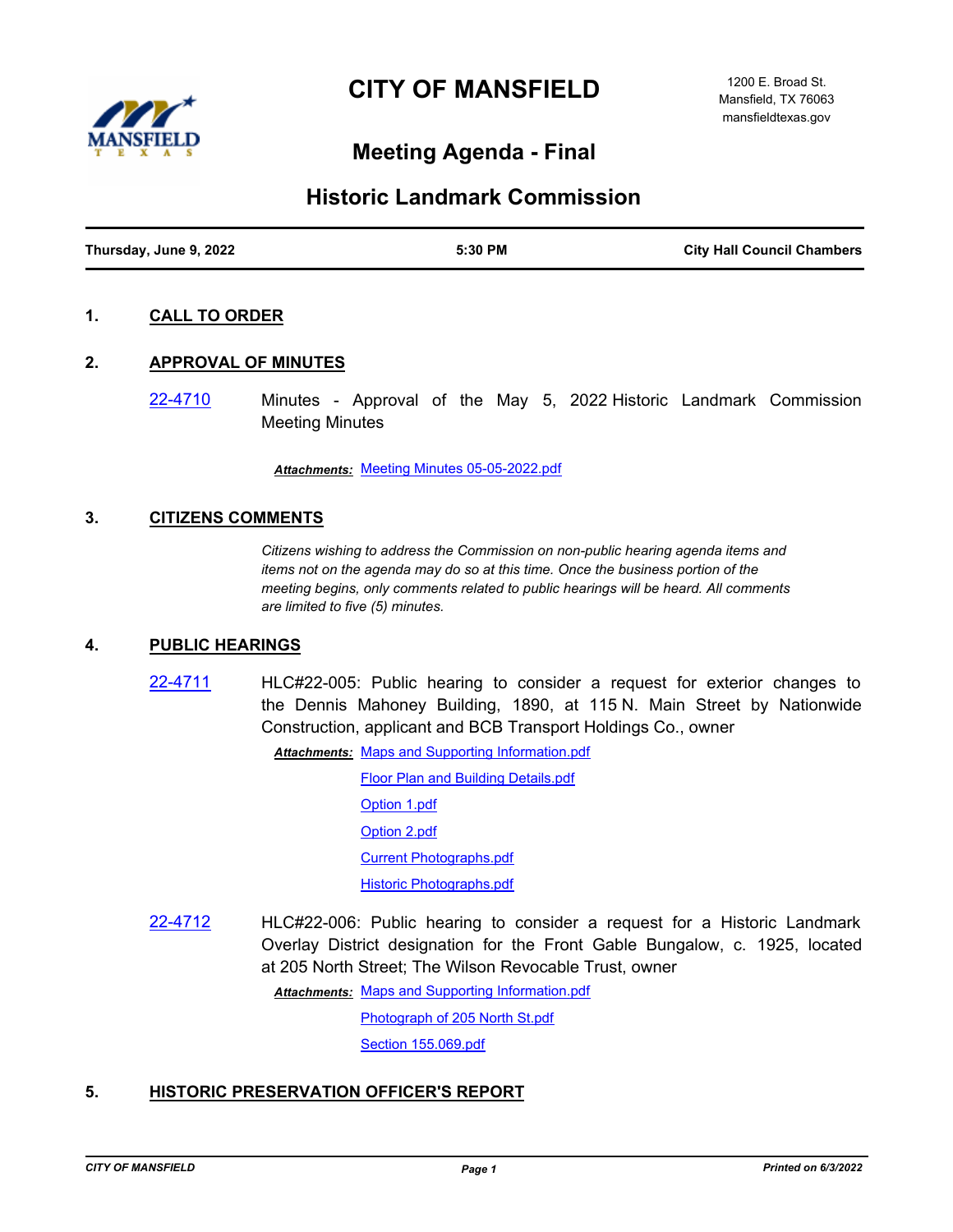



# **Meeting Agenda - Final**

# **Historic Landmark Commission**

| Thursday, June 9, 2022 | 5:30 PM | <b>City Hall Council Chambers</b> |
|------------------------|---------|-----------------------------------|

# **1. CALL TO ORDER**

#### **2. APPROVAL OF MINUTES**

[22-4710](http://mansfield.legistar.com/gateway.aspx?m=l&id=/matter.aspx?key=8824) Minutes - Approval of the May 5, 2022 Historic Landmark Commission Meeting Minutes

*Attachments:* [Meeting Minutes 05-05-2022.pdf](http://Mansfield.legistar.com/gateway.aspx?M=F&ID=f9e334cf-cdd9-4e3d-ab5a-56c2d81c153e.pdf)

# **3. CITIZENS COMMENTS**

*Citizens wishing to address the Commission on non-public hearing agenda items and items not on the agenda may do so at this time. Once the business portion of the meeting begins, only comments related to public hearings will be heard. All comments are limited to five (5) minutes.*

#### **4. PUBLIC HEARINGS**

[22-4711](http://mansfield.legistar.com/gateway.aspx?m=l&id=/matter.aspx?key=8825) HLC#22-005: Public hearing to consider a request for exterior changes to the Dennis Mahoney Building, 1890, at 115 N. Main Street by Nationwide Construction, applicant and BCB Transport Holdings Co., owner

> Attachments: [Maps and Supporting Information.pdf](http://Mansfield.legistar.com/gateway.aspx?M=F&ID=257eaf68-a8f7-4d13-921e-6ca4c3110854.pdf) [Floor Plan and Building Details.pdf](http://Mansfield.legistar.com/gateway.aspx?M=F&ID=072dc932-f187-4c45-a65f-b52942196a28.pdf) [Option 1.pdf](http://Mansfield.legistar.com/gateway.aspx?M=F&ID=393a6f56-85d4-44e7-8645-3c11ce1479f5.pdf) [Option 2.pdf](http://Mansfield.legistar.com/gateway.aspx?M=F&ID=dd10bfe8-a614-471c-935a-cf63af4752b0.pdf) [Current Photographs.pdf](http://Mansfield.legistar.com/gateway.aspx?M=F&ID=95b4ae69-2d15-43c0-bf40-3d1d87dd9f2c.pdf) [Historic Photographs.pdf](http://Mansfield.legistar.com/gateway.aspx?M=F&ID=85c6b443-1322-4e34-99d9-50eeeb8cc615.pdf)

[22-4712](http://mansfield.legistar.com/gateway.aspx?m=l&id=/matter.aspx?key=8826) HLC#22-006: Public hearing to consider a request for a Historic Landmark Overlay District designation for the Front Gable Bungalow, c. 1925, located at 205 North Street; The Wilson Revocable Trust, owner

Attachments: [Maps and Supporting Information.pdf](http://Mansfield.legistar.com/gateway.aspx?M=F&ID=1f2abf9f-adfe-4369-8578-feb6dcfcba96.pdf)

[Photograph of 205 North St.pdf](http://Mansfield.legistar.com/gateway.aspx?M=F&ID=0c727686-87ac-4022-b814-35036d9aaa65.pdf)

[Section 155.069.pdf](http://Mansfield.legistar.com/gateway.aspx?M=F&ID=d085238b-ae1e-4f72-b8ef-9abec4d32e83.pdf)

#### **5. HISTORIC PRESERVATION OFFICER'S REPORT**